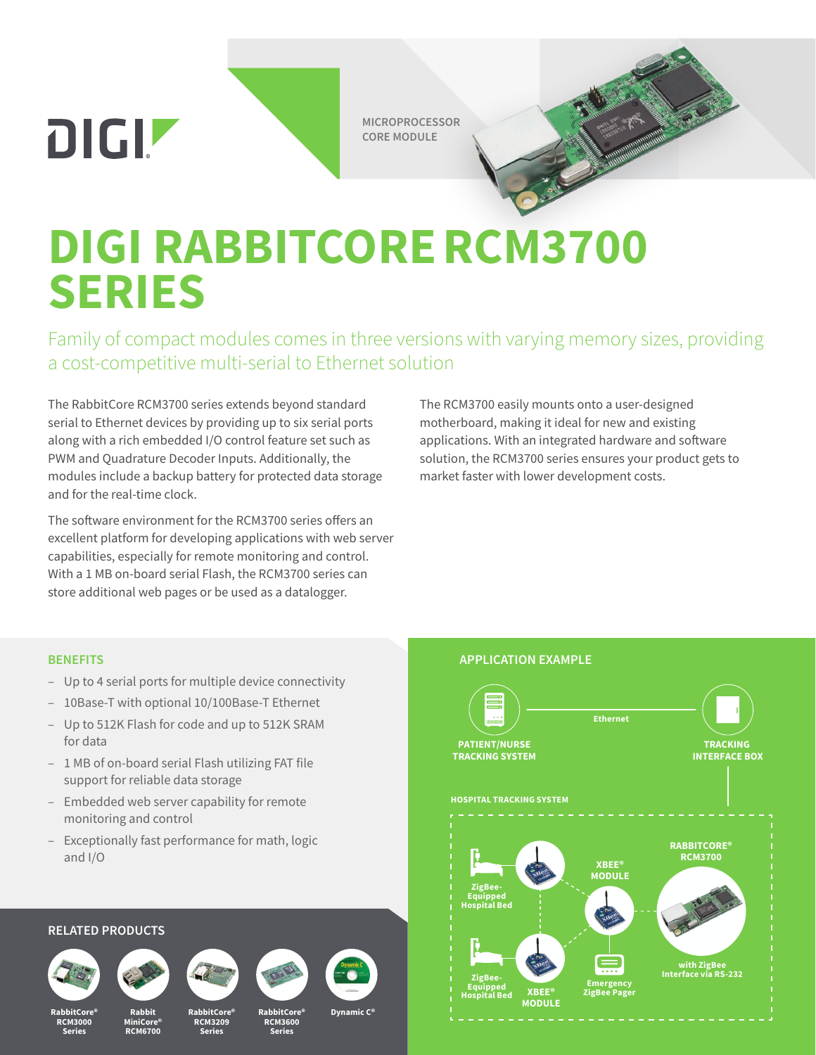**DIGIZ** 

**MICROPROCESSOR CORE MODULE**

# **DIGI RABBITCORERCM3700 SERIES**

Family of compact modules comes in three versions with varying memory sizes, providing a cost-competitive multi-serial to Ethernet solution

The RabbitCore RCM3700 series extends beyond standard serial to Ethernet devices by providing up to six serial ports along with a rich embedded I/O control feature set such as PWM and Quadrature Decoder Inputs. Additionally, the modules include a backup battery for protected data storage and for the real-time clock.

The software environment for the RCM3700 series offers an excellent platform for developing applications with web server capabilities, especially for remote monitoring and control. With a 1 MB on-board serial Flash, the RCM3700 series can store additional web pages or be used as a datalogger.

The RCM3700 easily mounts onto a user-designed motherboard, making it ideal for new and existing applications. With an integrated hardware and software solution, the RCM3700 series ensures your product gets to market faster with lower development costs.

#### **BENEFITS**

- Up to 4 serial ports for multiple device connectivity
- 10Base-T with optional 10/100Base-T Ethernet
- Up to 512K Flash for code and up to 512K SRAM for data
- 1 MB of on-board serial Flash utilizing FAT file support for reliable data storage
- Embedded web server capability for remote monitoring and control
- Exceptionally fast performance for math, logic and I/O

#### **RELATED PRODUCTS**











**RabbitCore® RCM3600 Series**

## **APPLICATION EXAMPLE**



**RabbitCore® RCM3000 Series**

**MiniCore® RCM6700**

**RabbitCore® RCM3209 Series**

**Dynamic C<sup>®</sup>**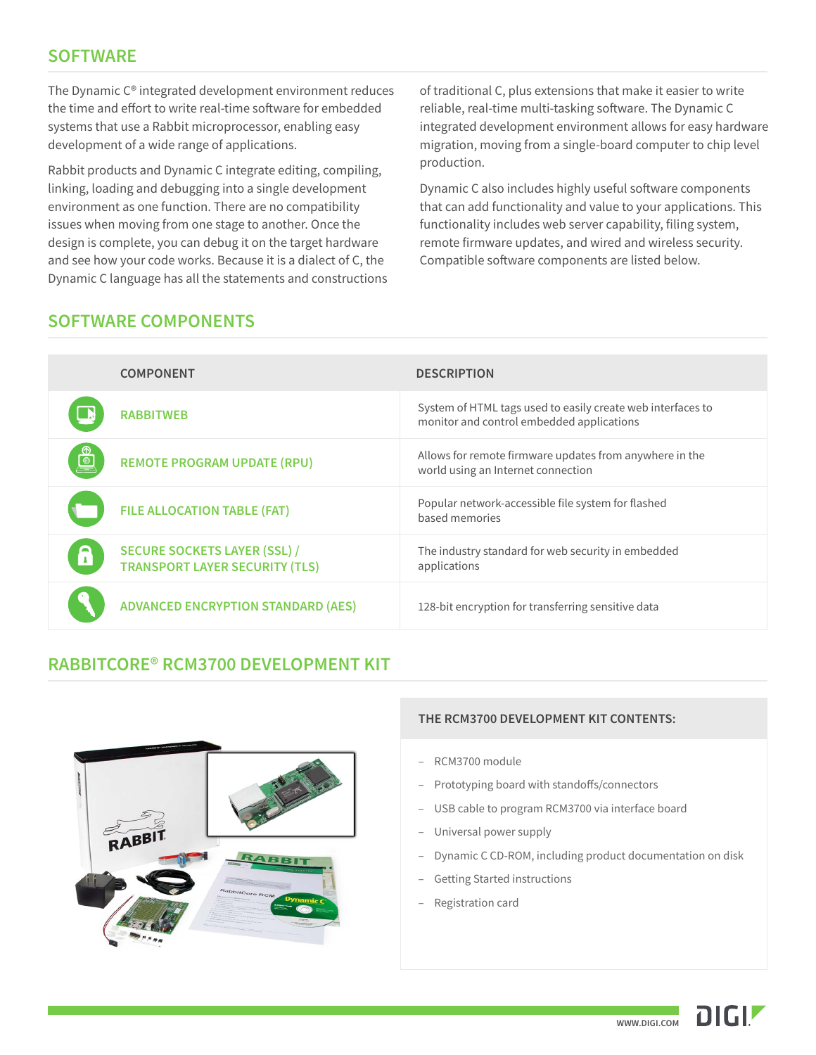## **SOFTWARE**

The Dynamic C® integrated development environment reduces the time and effort to write real-time software for embedded systems that use a Rabbit microprocessor, enabling easy development of a wide range of applications.

Rabbit products and Dynamic C integrate editing, compiling, linking, loading and debugging into a single development environment as one function. There are no compatibility issues when moving from one stage to another. Once the design is complete, you can debug it on the target hardware and see how your code works. Because it is a dialect of C, the Dynamic C language has all the statements and constructions of traditional C, plus extensions that make it easier to write reliable, real-time multi-tasking software. The Dynamic C integrated development environment allows for easy hardware migration, moving from a single-board computer to chip level production.

Dynamic C also includes highly useful software components that can add functionality and value to your applications. This functionality includes web server capability, filing system, remote firmware updates, and wired and wireless security. Compatible software components are listed below.

#### **SOFTWARE COMPONENTS**

|                | <b>COMPONENT</b>                                                             | <b>DESCRIPTION</b>                                                                                       |
|----------------|------------------------------------------------------------------------------|----------------------------------------------------------------------------------------------------------|
| $\mathbf{R}$   | <b>RABBITWEB</b>                                                             | System of HTML tags used to easily create web interfaces to<br>monitor and control embedded applications |
| $\circledcirc$ | <b>REMOTE PROGRAM UPDATE (RPU)</b>                                           | Allows for remote firmware updates from anywhere in the<br>world using an Internet connection            |
|                | <b>FILE ALLOCATION TABLE (FAT)</b>                                           | Popular network-accessible file system for flashed<br>based memories                                     |
| A              | <b>SECURE SOCKETS LAYER (SSL) /</b><br><b>TRANSPORT LAYER SECURITY (TLS)</b> | The industry standard for web security in embedded<br>applications                                       |
|                | <b>ADVANCED ENCRYPTION STANDARD (AES)</b>                                    | 128-bit encryption for transferring sensitive data                                                       |

## **RABBITCORE® RCM3700 DEVELOPMENT KIT**



#### **THE RCM3700 DEVELOPMENT KIT CONTENTS:**

- RCM3700 module
- Prototyping board with standoffs/connectors
- USB cable to program RCM3700 via interface board
- Universal power supply
- Dynamic C CD-ROM, including product documentation on disk
- Getting Started instructions
- Registration card